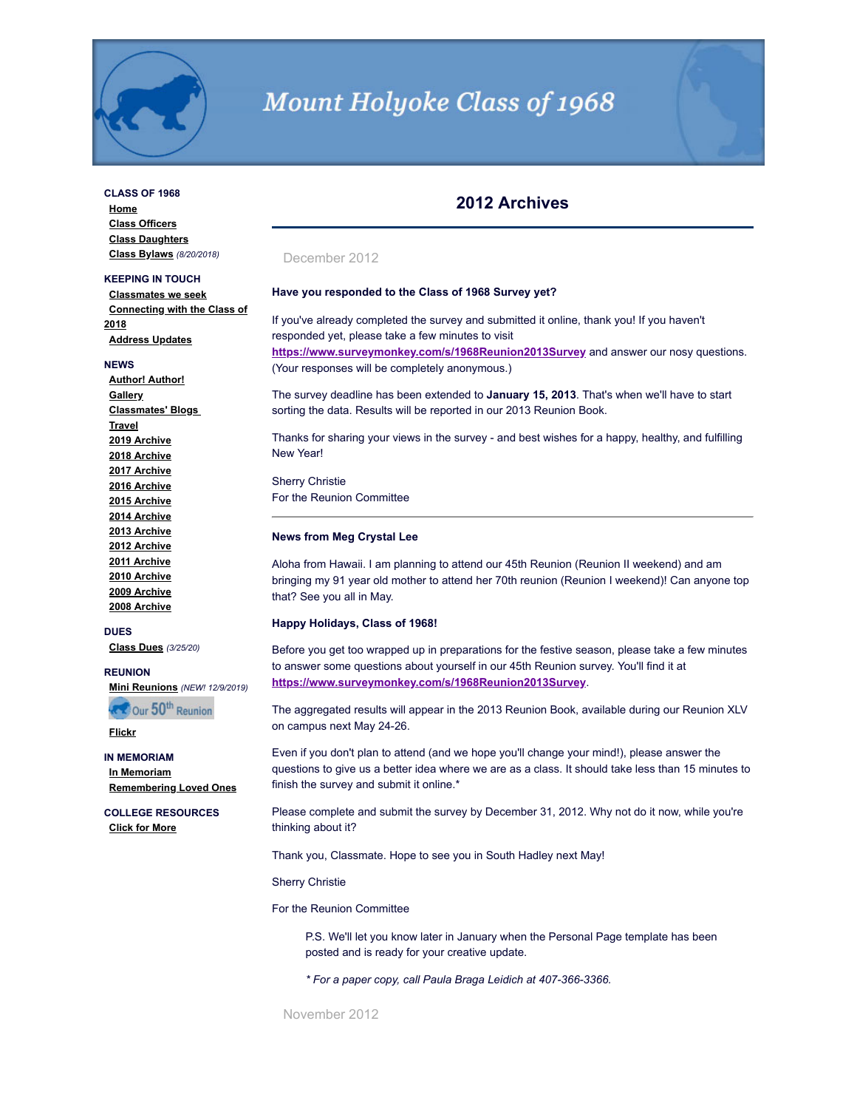

# **Mount Holyoke Class of 1968**

## **CLASS OF 1968**

**[Home](http://www.mhc1968.com/index.asp) [Class Officers](http://www.mhc1968.com/officers.asp) [Class Daughters](http://www.mhc1968.com/daughters.asp) [Class Bylaws](http://www.mhc1968.com/Bylaws.asp)** *(8/20/2018)*

## **KEEPING IN TOUCH**

**[Classmates we seek](http://www.mhc1968.com/lostclassmates.asp) [Connecting with the Class of](http://www.mhc1968.com/sisters.asp) 2018 [Address Updates](http://www.mhc1968.com/updates.asp)**

#### **NEWS**

**[Author! Author!](http://www.mhc1968.com/author.asp) [Gallery](http://www.mhc1968.com/gallery/gallery.asp) [Classmates' Blogs](http://www.mhc1968.com/blog.asp)  [Travel](http://www.mhc1968.com/travel.asp) [2019 Archive](http://www.mhc1968.com/archive2019.asp) [2018 Archive](http://www.mhc1968.com/archive2018.asp) [2017 Archive](http://www.mhc1968.com/archive2017.asp) [2016 Archive](http://www.mhc1968.com/archive2016.asp) [2015 Archive](http://www.mhc1968.com/archive2015.asp) [2014 Archive](http://www.mhc1968.com/archive2014.asp) [2013 Archive](http://www.mhc1968.com/archive2013.asp) [2012 Archive](http://www.mhc1968.com/archive2012.asp) [2011 Archive](http://www.mhc1968.com/archive2011.asp) [2010 Archive](http://www.mhc1968.com/archive2010.asp) [2009 Archive](http://www.mhc1968.com/archive2009.asp) [2008 Archive](http://www.mhc1968.com/archive2008.asp)**

#### **DUES**

**[Class Dues](http://www.mhc1968.com/dues.asp)** *(3/25/20)*

#### **REUNION**

**RECOUR 50th Reunion** 

**[Mini Reunions](http://www.mhc1968.com/MiniReunions.asp)** *(NEW! 12/9/2019)*

**[Flickr](https://www.flickr.com/photos/162666628@N03/)**

#### **IN MEMORIAM**

**[In Memoriam](http://www.mhc1968.com/memoriam.asp) [Remembering Loved Ones](http://www.mhc1968.com/remember.asp)**

**COLLEGE RESOURCES [Click for More](http://www.mhc1968.com/resources.asp)**

## **2012 Archives**

## December 2012

## **Have you responded to the Class of 1968 Survey yet?**

If you've already completed the survey and submitted it online, thank you! If you haven't responded yet, please take a few minutes to visit **<https://www.surveymonkey.com/s/1968Reunion2013Survey>** and answer our nosy questions. (Your responses will be completely anonymous.)

The survey deadline has been extended to **January 15, 2013**. That's when we'll have to start sorting the data. Results will be reported in our 2013 Reunion Book.

Thanks for sharing your views in the survey - and best wishes for a happy, healthy, and fulfilling New Year!

Sherry Christie For the Reunion Committee

#### **News from Meg Crystal Lee**

Aloha from Hawaii. I am planning to attend our 45th Reunion (Reunion II weekend) and am bringing my 91 year old mother to attend her 70th reunion (Reunion I weekend)! Can anyone top that? See you all in May.

#### **Happy Holidays, Class of 1968!**

Before you get too wrapped up in preparations for the festive season, please take a few minutes to answer some questions about yourself in our 45th Reunion survey. You'll find it at **<https://www.surveymonkey.com/s/1968Reunion2013Survey>**.

The aggregated results will appear in the 2013 Reunion Book, available during our Reunion XLV on campus next May 24-26.

Even if you don't plan to attend (and we hope you'll change your mind!), please answer the questions to give us a better idea where we are as a class. It should take less than 15 minutes to finish the survey and submit it online.\*

Please complete and submit the survey by December 31, 2012. Why not do it now, while you're thinking about it?

Thank you, Classmate. Hope to see you in South Hadley next May!

#### Sherry Christie

For the Reunion Committee

P.S. We'll let you know later in January when the Personal Page template has been posted and is ready for your creative update.

*\* For a paper copy, call Paula Braga Leidich at 407-366-3366.*

November 2012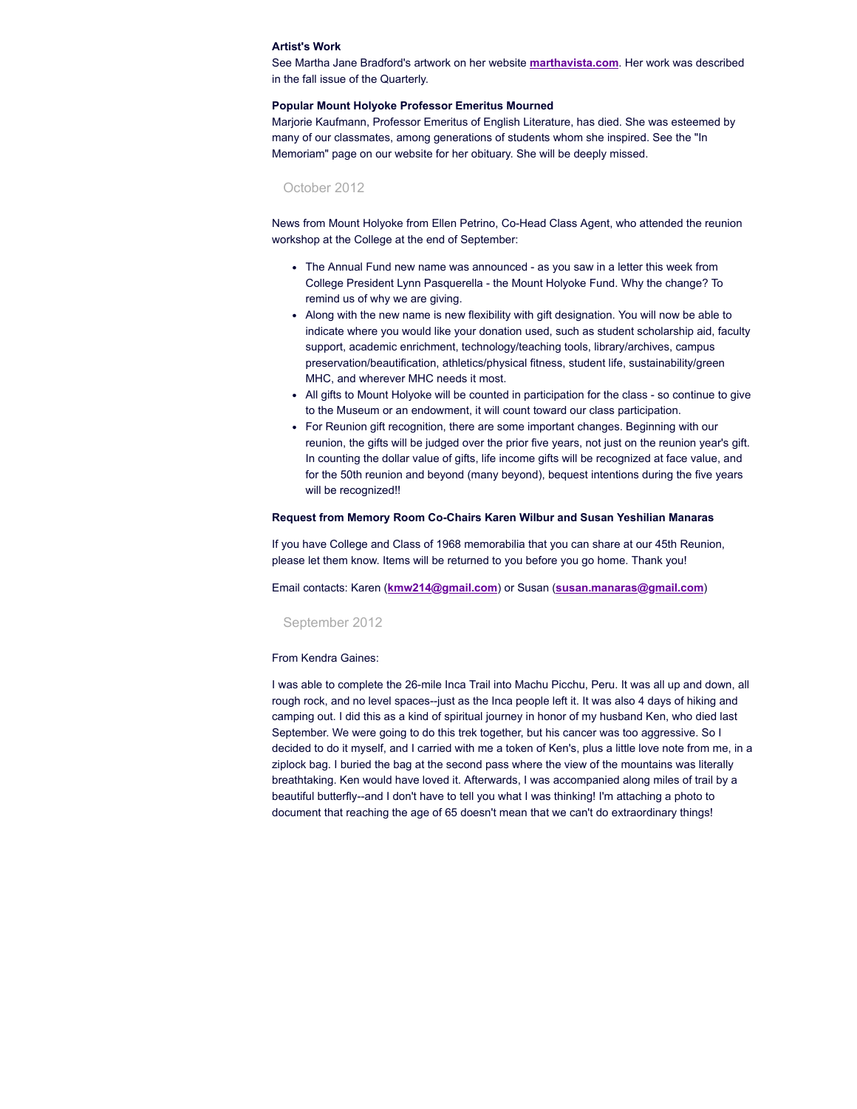#### **Artist's Work**

See Martha Jane Bradford's artwork on her website **[marthavista.com](http://www.marthavista.com/)**. Her work was described in the fall issue of the Quarterly.

#### **Popular Mount Holyoke Professor Emeritus Mourned**

Marjorie Kaufmann, Professor Emeritus of English Literature, has died. She was esteemed by many of our classmates, among generations of students whom she inspired. See the "In Memoriam" page on our website for her obituary. She will be deeply missed.

## October 2012

News from Mount Holyoke from Ellen Petrino, Co-Head Class Agent, who attended the reunion workshop at the College at the end of September:

- The Annual Fund new name was announced as you saw in a letter this week from College President Lynn Pasquerella - the Mount Holyoke Fund. Why the change? To remind us of why we are giving.
- Along with the new name is new flexibility with gift designation. You will now be able to indicate where you would like your donation used, such as student scholarship aid, faculty support, academic enrichment, technology/teaching tools, library/archives, campus preservation/beautification, athletics/physical fitness, student life, sustainability/green MHC, and wherever MHC needs it most.
- All gifts to Mount Holyoke will be counted in participation for the class so continue to give to the Museum or an endowment, it will count toward our class participation.
- For Reunion gift recognition, there are some important changes. Beginning with our reunion, the gifts will be judged over the prior five years, not just on the reunion year's gift. In counting the dollar value of gifts, life income gifts will be recognized at face value, and for the 50th reunion and beyond (many beyond), bequest intentions during the five years will be recognized!!

#### **Request from Memory Room Co-Chairs Karen Wilbur and Susan Yeshilian Manaras**

If you have College and Class of 1968 memorabilia that you can share at our 45th Reunion, please let them know. Items will be returned to you before you go home. Thank you!

Email contacts: Karen (**[kmw214@gmail.com](mailto:kmw214@gmail.com)**) or Susan (**[susan.manaras@gmail.com](mailto:susan.manaras@gmail.com)**)

#### September 2012

#### From Kendra Gaines:

I was able to complete the 26-mile Inca Trail into Machu Picchu, Peru. It was all up and down, all rough rock, and no level spaces--just as the Inca people left it. It was also 4 days of hiking and camping out. I did this as a kind of spiritual journey in honor of my husband Ken, who died last September. We were going to do this trek together, but his cancer was too aggressive. So I decided to do it myself, and I carried with me a token of Ken's, plus a little love note from me, in a ziplock bag. I buried the bag at the second pass where the view of the mountains was literally breathtaking. Ken would have loved it. Afterwards, I was accompanied along miles of trail by a beautiful butterfly--and I don't have to tell you what I was thinking! I'm attaching a photo to document that reaching the age of 65 doesn't mean that we can't do extraordinary things!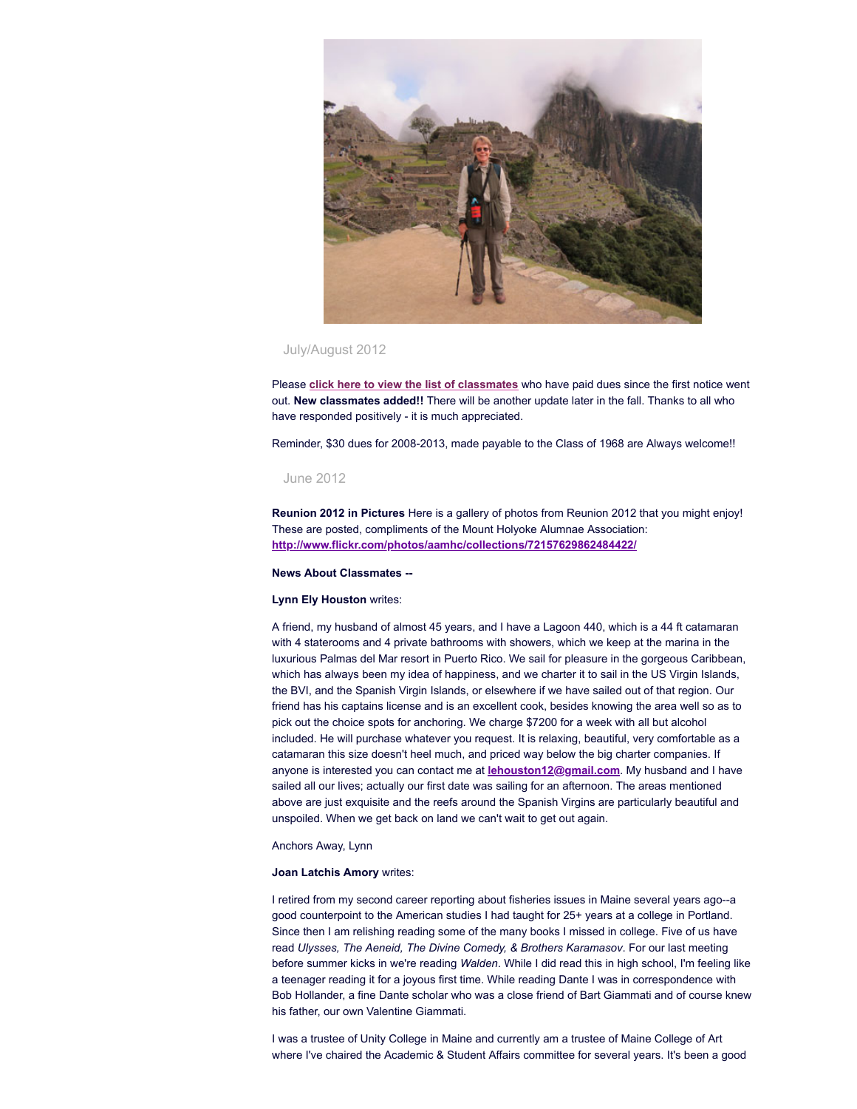

## July/August 2012

Please **click here to view the list of [classmates](http://www.mhc1968.com/dues.asp)** who have paid dues since the first notice went out. **New classmates added!!** There will be another update later in the fall. Thanks to all who have responded positively - it is much appreciated.

Reminder, \$30 dues for 2008-2013, made payable to the Class of 1968 are Always welcome!!

## June 2012

**Reunion 2012 in Pictures** Here is a gallery of photos from Reunion 2012 that you might enjoy! These are posted, compliments of the Mount Holyoke Alumnae Association: **<http://www.flickr.com/photos/aamhc/collections/72157629862484422/>**

#### **News About Classmates --**

#### **Lynn Ely Houston** writes:

A friend, my husband of almost 45 years, and I have a Lagoon 440, which is a 44 ft catamaran with 4 staterooms and 4 private bathrooms with showers, which we keep at the marina in the luxurious Palmas del Mar resort in Puerto Rico. We sail for pleasure in the gorgeous Caribbean, which has always been my idea of happiness, and we charter it to sail in the US Virgin Islands, the BVI, and the Spanish Virgin Islands, or elsewhere if we have sailed out of that region. Our friend has his captains license and is an excellent cook, besides knowing the area well so as to pick out the choice spots for anchoring. We charge \$7200 for a week with all but alcohol included. He will purchase whatever you request. It is relaxing, beautiful, very comfortable as a catamaran this size doesn't heel much, and priced way below the big charter companies. If anyone is interested you can contact me at **[lehouston12@gmail.com](mailto:lehouston12@gmail.com)**. My husband and I have sailed all our lives; actually our first date was sailing for an afternoon. The areas mentioned above are just exquisite and the reefs around the Spanish Virgins are particularly beautiful and unspoiled. When we get back on land we can't wait to get out again.

## Anchors Away, Lynn

#### **Joan Latchis Amory** writes:

I retired from my second career reporting about fisheries issues in Maine several years ago--a good counterpoint to the American studies I had taught for 25+ years at a college in Portland. Since then I am relishing reading some of the many books I missed in college. Five of us have read *Ulysses, The Aeneid, The Divine Comedy, & Brothers Karamasov*. For our last meeting before summer kicks in we're reading *Walden*. While I did read this in high school, I'm feeling like a teenager reading it for a joyous first time. While reading Dante I was in correspondence with Bob Hollander, a fine Dante scholar who was a close friend of Bart Giammati and of course knew his father, our own Valentine Giammati.

I was a trustee of Unity College in Maine and currently am a trustee of Maine College of Art where I've chaired the Academic & Student Affairs committee for several years. It's been a good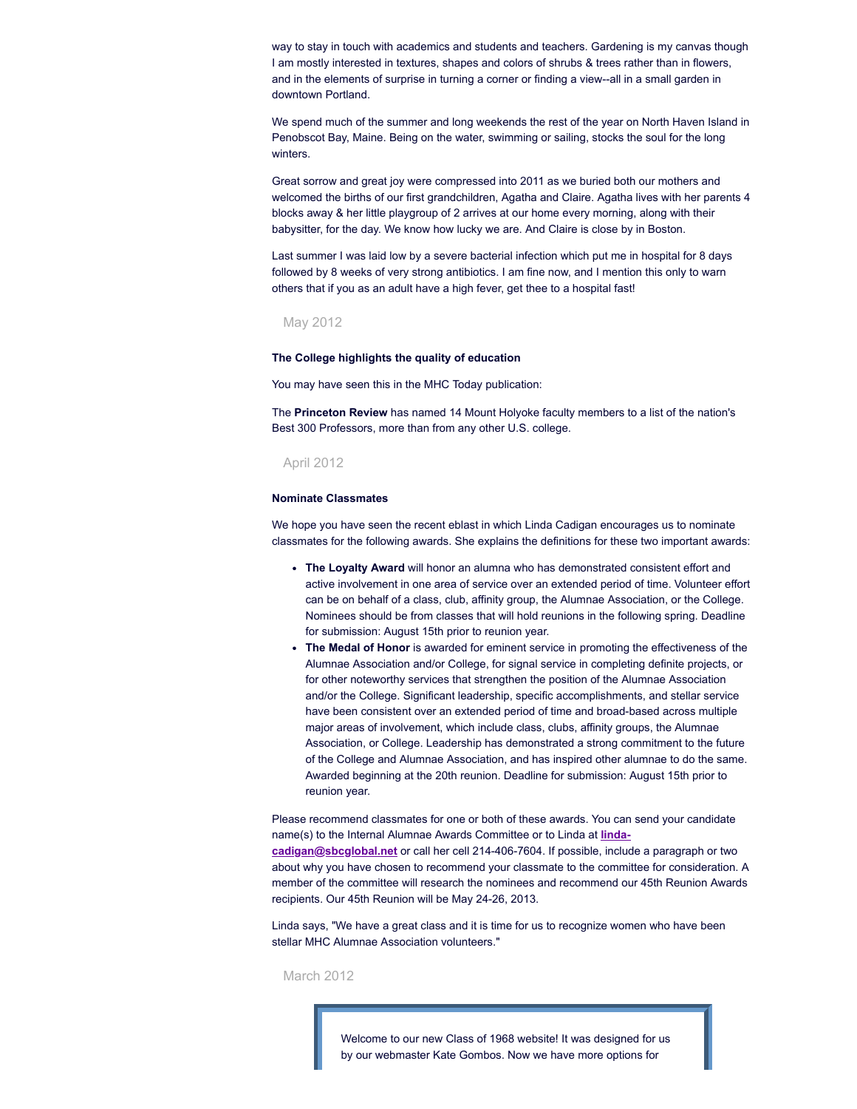way to stay in touch with academics and students and teachers. Gardening is my canvas though I am mostly interested in textures, shapes and colors of shrubs & trees rather than in flowers, and in the elements of surprise in turning a corner or finding a view--all in a small garden in downtown Portland.

We spend much of the summer and long weekends the rest of the year on North Haven Island in Penobscot Bay, Maine. Being on the water, swimming or sailing, stocks the soul for the long winters.

Great sorrow and great joy were compressed into 2011 as we buried both our mothers and welcomed the births of our first grandchildren, Agatha and Claire. Agatha lives with her parents 4 blocks away & her little playgroup of 2 arrives at our home every morning, along with their babysitter, for the day. We know how lucky we are. And Claire is close by in Boston.

Last summer I was laid low by a severe bacterial infection which put me in hospital for 8 days followed by 8 weeks of very strong antibiotics. I am fine now, and I mention this only to warn others that if you as an adult have a high fever, get thee to a hospital fast!

## May 2012

#### **The College highlights the quality of education**

You may have seen this in the MHC Today publication:

The **Princeton Review** has named 14 Mount Holyoke faculty members to a list of the nation's Best 300 Professors, more than from any other U.S. college.

## April 2012

#### **Nominate Classmates**

We hope you have seen the recent eblast in which Linda Cadigan encourages us to nominate classmates for the following awards. She explains the definitions for these two important awards:

- **The Loyalty Award** will honor an alumna who has demonstrated consistent effort and active involvement in one area of service over an extended period of time. Volunteer effort can be on behalf of a class, club, affinity group, the Alumnae Association, or the College. Nominees should be from classes that will hold reunions in the following spring. Deadline for submission: August 15th prior to reunion year.
- **The Medal of Honor** is awarded for eminent service in promoting the effectiveness of the Alumnae Association and/or College, for signal service in completing definite projects, or for other noteworthy services that strengthen the position of the Alumnae Association and/or the College. Significant leadership, specific accomplishments, and stellar service have been consistent over an extended period of time and broad-based across multiple major areas of involvement, which include class, clubs, affinity groups, the Alumnae Association, or College. Leadership has demonstrated a strong commitment to the future of the College and Alumnae Association, and has inspired other alumnae to do the same. Awarded beginning at the 20th reunion. Deadline for submission: August 15th prior to reunion year.

Please recommend classmates for one or both of these awards. You can send your candidate name(s) to the Internal Alumnae Awards Committee or to Linda at **linda-**

**[cadigan@sbcglobal.net](mailto:linda-cadigan@sbcglobal.net)** or call her cell 214-406-7604. If possible, include a paragraph or two about why you have chosen to recommend your classmate to the committee for consideration. A member of the committee will research the nominees and recommend our 45th Reunion Awards recipients. Our 45th Reunion will be May 24-26, 2013.

Linda says, "We have a great class and it is time for us to recognize women who have been stellar MHC Alumnae Association volunteers."

March 2012

Welcome to our new Class of 1968 website! It was designed for us by our webmaster Kate Gombos. Now we have more options for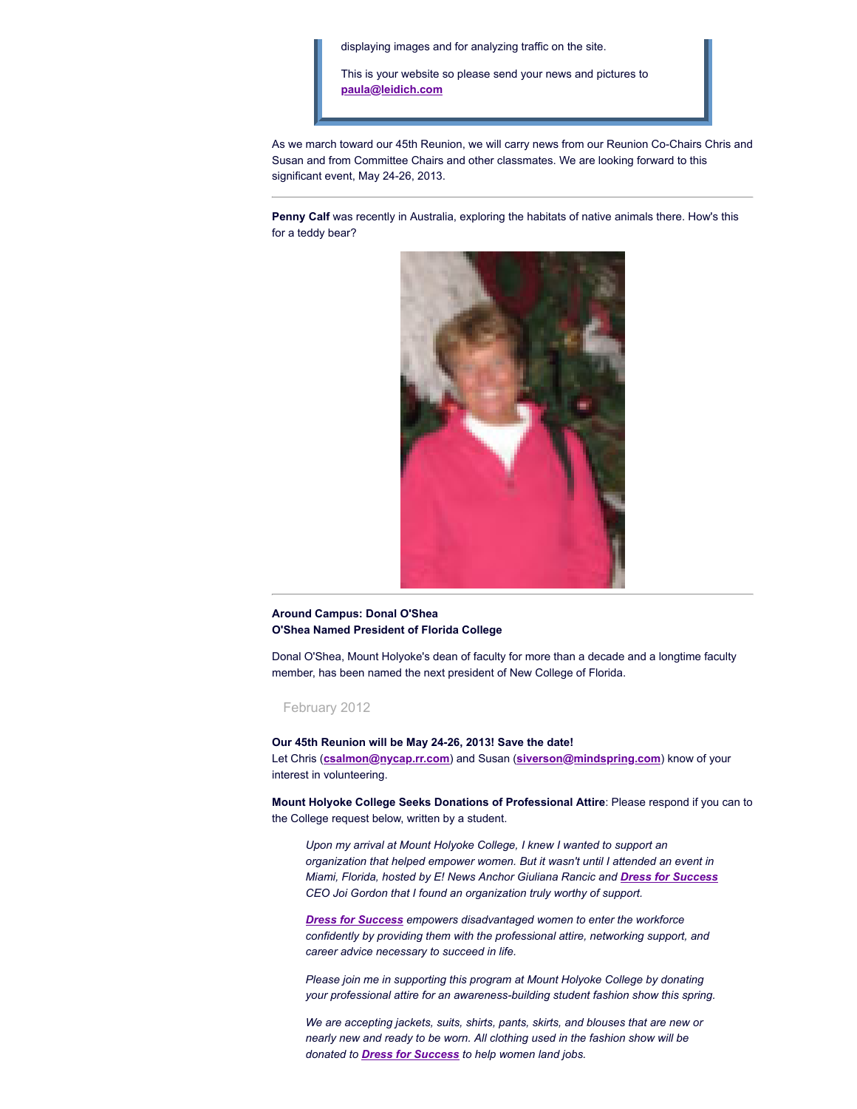displaying images and for analyzing traffic on the site.

This is your website so please send your news and pictures to **[paula@leidich.com](mailto:paula@leidich.com)**

As we march toward our 45th Reunion, we will carry news from our Reunion Co-Chairs Chris and Susan and from Committee Chairs and other classmates. We are looking forward to this significant event, May 24-26, 2013.

**Penny Calf** was recently in Australia, exploring the habitats of native animals there. How's this for a teddy bear?



## **Around Campus: Donal O'Shea O'Shea Named President of Florida College**

Donal O'Shea, Mount Holyoke's dean of faculty for more than a decade and a longtime faculty member, has been named the next president of New College of Florida.

February 2012

**Our 45th Reunion will be May 24-26, 2013! Save the date!** Let Chris (**[csalmon@nycap.rr.com](mailto:csalmon@nycap.rr.com)**) and Susan (**[siverson@mindspring.com](mailto:siverson@mindspring.com)**) know of your interest in volunteering.

**Mount Holyoke College Seeks Donations of Professional Attire**: Please respond if you can to the College request below, written by a student.

*Upon my arrival at Mount Holyoke College, I knew I wanted to support an organization that helped empower women. But it wasn't until I attended an event in Miami, Florida, hosted by E! News Anchor Giuliana Rancic and Dress for [Success](http://www.dressforsuccess.org/) CEO Joi Gordon that I found an organization truly worthy of support.*

*Dress for [Success](http://www.dressforsuccess.org/) empowers disadvantaged women to enter the workforce confidently by providing them with the professional attire, networking support, and career advice necessary to succeed in life.*

*Please join me in supporting this program at Mount Holyoke College by donating your professional attire for an awareness-building student fashion show this spring.*

*We are accepting jackets, suits, shirts, pants, skirts, and blouses that are new or nearly new and ready to be worn. All clothing used in the fashion show will be donated to Dress for [Success](http://www.dressforsuccess.org/) to help women land jobs.*